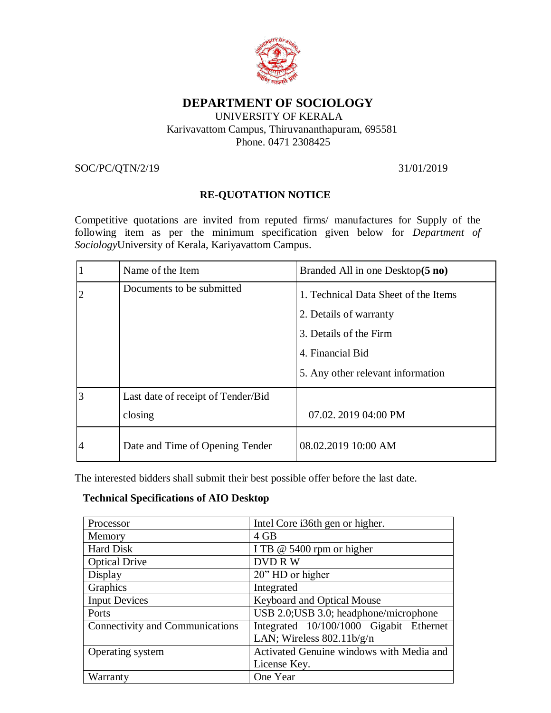

## **DEPARTMENT OF SOCIOLOGY**

### UNIVERSITY OF KERALA Karivavattom Campus, Thiruvananthapuram, 695581 Phone. 0471 2308425

SOC/PC/QTN/2/19 31/01/2019

## **RE**-**QUOTATION NOTICE**

Competitive quotations are invited from reputed firms/ manufactures for Supply of the following item as per the minimum specification given below for *Department of Sociology*University of Kerala, Kariyavattom Campus.

|                | Name of the Item                   | Branded All in one Desktop(5 no)                                                                             |
|----------------|------------------------------------|--------------------------------------------------------------------------------------------------------------|
| $\overline{2}$ | Documents to be submitted          | 1. Technical Data Sheet of the Items<br>2. Details of warranty<br>3. Details of the Firm<br>4. Financial Bid |
|                |                                    | 5. Any other relevant information                                                                            |
| 3              | Last date of receipt of Tender/Bid |                                                                                                              |
|                | closing                            | 07.02. 2019 04:00 PM                                                                                         |
| 4              | Date and Time of Opening Tender    | 08.02.2019 10:00 AM                                                                                          |

The interested bidders shall submit their best possible offer before the last date.

### **Technical Specifications of AIO Desktop**

| Processor                       | Intel Core i36th gen or higher.          |
|---------------------------------|------------------------------------------|
| Memory                          | 4 GB                                     |
| <b>Hard Disk</b>                | I TB @ 5400 rpm or higher                |
| <b>Optical Drive</b>            | <b>DVDRW</b>                             |
| Display                         | 20" HD or higher                         |
| Graphics                        | Integrated                               |
| <b>Input Devices</b>            | <b>Keyboard and Optical Mouse</b>        |
| Ports                           | USB 2.0; USB 3.0; headphone/microphone   |
| Connectivity and Communications | Integrated 10/100/1000 Gigabit Ethernet  |
|                                 | LAN; Wireless $802.11b/g/n$              |
| Operating system                | Activated Genuine windows with Media and |
|                                 | License Key.                             |
| Warranty                        | One Year                                 |